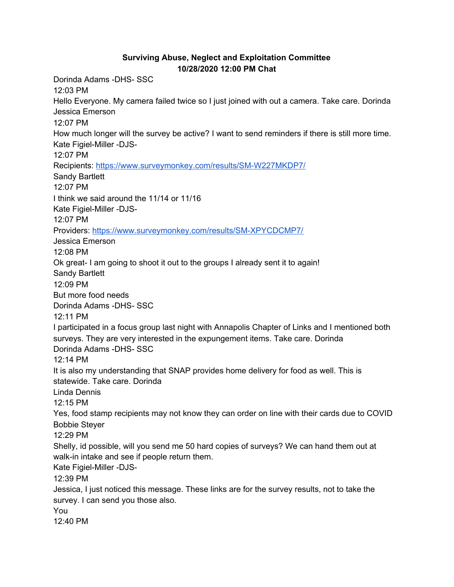## **Surviving Abuse, Neglect and Exploitation Committee 10/28/2020 12:00 PM Chat**

Dorinda Adams -DHS- SSC 12:03 PM Hello Everyone. My camera failed twice so I just joined with out a camera. Take care. Dorinda Jessica Emerson 12:07 PM How much longer will the survey be active? I want to send reminders if there is still more time. Kate Figiel-Miller -DJS-12:07 PM Recipients: [https://www.surveymonkey.com/results/SM-W227MKDP7/](https://meet.google.com/linkredirect?authuser=1&dest=https%3A%2F%2Fwww.surveymonkey.com%2Fresults%2FSM-W227MKDP7%2F) Sandy Bartlett 12:07 PM I think we said around the 11/14 or 11/16 Kate Figiel-Miller -DJS-12:07 PM Providers: [https://www.surveymonkey.com/results/SM-XPYCDCMP7/](https://meet.google.com/linkredirect?authuser=1&dest=https%3A%2F%2Fwww.surveymonkey.com%2Fresults%2FSM-XPYCDCMP7%2F) Jessica Emerson 12:08 PM Ok great- I am going to shoot it out to the groups I already sent it to again! Sandy Bartlett 12:09 PM But more food needs Dorinda Adams -DHS- SSC 12:11 PM I participated in a focus group last night with Annapolis Chapter of Links and I mentioned both surveys. They are very interested in the expungement items. Take care. Dorinda Dorinda Adams -DHS- SSC 12:14 PM It is also my understanding that SNAP provides home delivery for food as well. This is statewide. Take care. Dorinda Linda Dennis 12:15 PM Yes, food stamp recipients may not know they can order on line with their cards due to COVID Bobbie Steyer 12:29 PM Shelly, id possible, will you send me 50 hard copies of surveys? We can hand them out at walk-in intake and see if people return them. Kate Figiel-Miller -DJS-12:39 PM Jessica, I just noticed this message. These links are for the survey results, not to take the survey. I can send you those also. You 12:40 PM